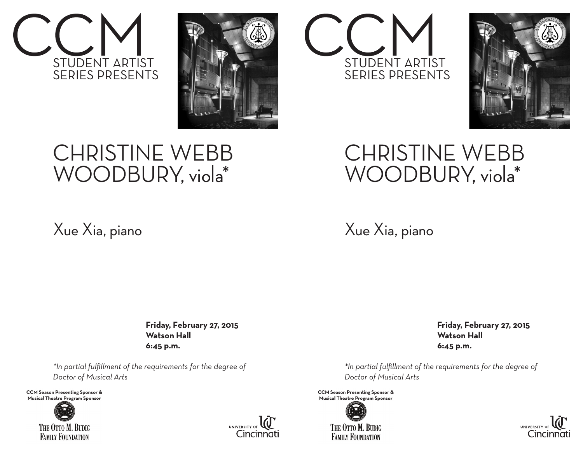



## CHRISTINE WEBB WOODBURY, viola\*

## Xue Xia, piano

 **Friday, February 27, 2015 Watson Hall 6:45 p.m.**

*\*In partial fulfillment of the requirements for the degree of Doctor of Musical Arts*

**CCM Season Presenting Sponsor &** Musical Theatre Program Sponsor